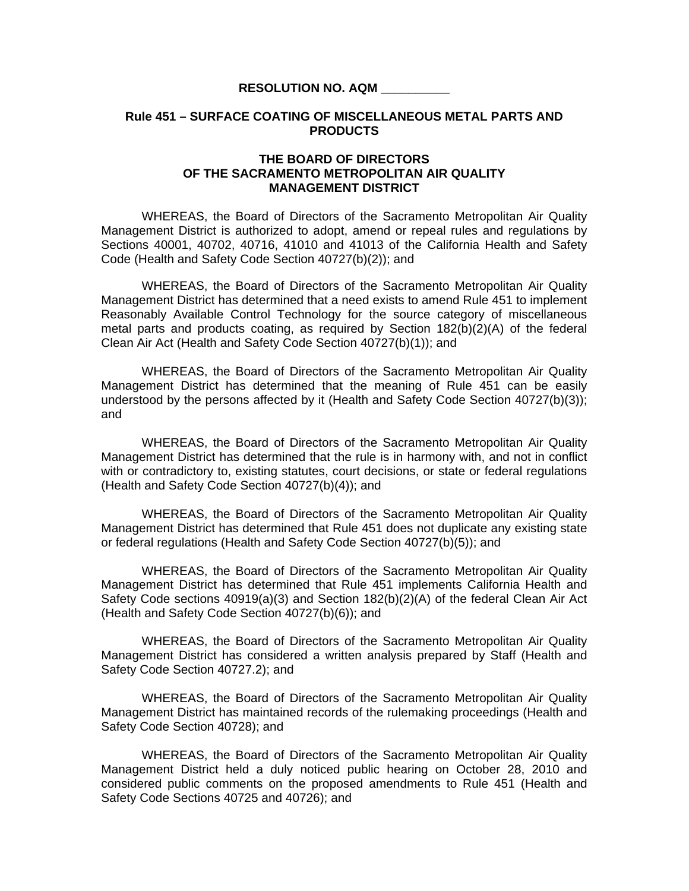## **RESOLUTION NO. AQM \_\_\_\_\_\_\_\_\_\_**

## **Rule 451 – SURFACE COATING OF MISCELLANEOUS METAL PARTS AND PRODUCTS**

## **THE BOARD OF DIRECTORS OF THE SACRAMENTO METROPOLITAN AIR QUALITY MANAGEMENT DISTRICT**

 WHEREAS, the Board of Directors of the Sacramento Metropolitan Air Quality Management District is authorized to adopt, amend or repeal rules and regulations by Sections 40001, 40702, 40716, 41010 and 41013 of the California Health and Safety Code (Health and Safety Code Section 40727(b)(2)); and

WHEREAS, the Board of Directors of the Sacramento Metropolitan Air Quality Management District has determined that a need exists to amend Rule 451 to implement Reasonably Available Control Technology for the source category of miscellaneous metal parts and products coating, as required by Section 182(b)(2)(A) of the federal Clean Air Act (Health and Safety Code Section 40727(b)(1)); and

 WHEREAS, the Board of Directors of the Sacramento Metropolitan Air Quality Management District has determined that the meaning of Rule 451 can be easily understood by the persons affected by it (Health and Safety Code Section 40727(b)(3)); and

 WHEREAS, the Board of Directors of the Sacramento Metropolitan Air Quality Management District has determined that the rule is in harmony with, and not in conflict with or contradictory to, existing statutes, court decisions, or state or federal regulations (Health and Safety Code Section 40727(b)(4)); and

 WHEREAS, the Board of Directors of the Sacramento Metropolitan Air Quality Management District has determined that Rule 451 does not duplicate any existing state or federal regulations (Health and Safety Code Section 40727(b)(5)); and

 WHEREAS, the Board of Directors of the Sacramento Metropolitan Air Quality Management District has determined that Rule 451 implements California Health and Safety Code sections 40919(a)(3) and Section 182(b)(2)(A) of the federal Clean Air Act (Health and Safety Code Section 40727(b)(6)); and

 WHEREAS, the Board of Directors of the Sacramento Metropolitan Air Quality Management District has considered a written analysis prepared by Staff (Health and Safety Code Section 40727.2); and

WHEREAS, the Board of Directors of the Sacramento Metropolitan Air Quality Management District has maintained records of the rulemaking proceedings (Health and Safety Code Section 40728); and

 WHEREAS, the Board of Directors of the Sacramento Metropolitan Air Quality Management District held a duly noticed public hearing on October 28, 2010 and considered public comments on the proposed amendments to Rule 451 (Health and Safety Code Sections 40725 and 40726); and